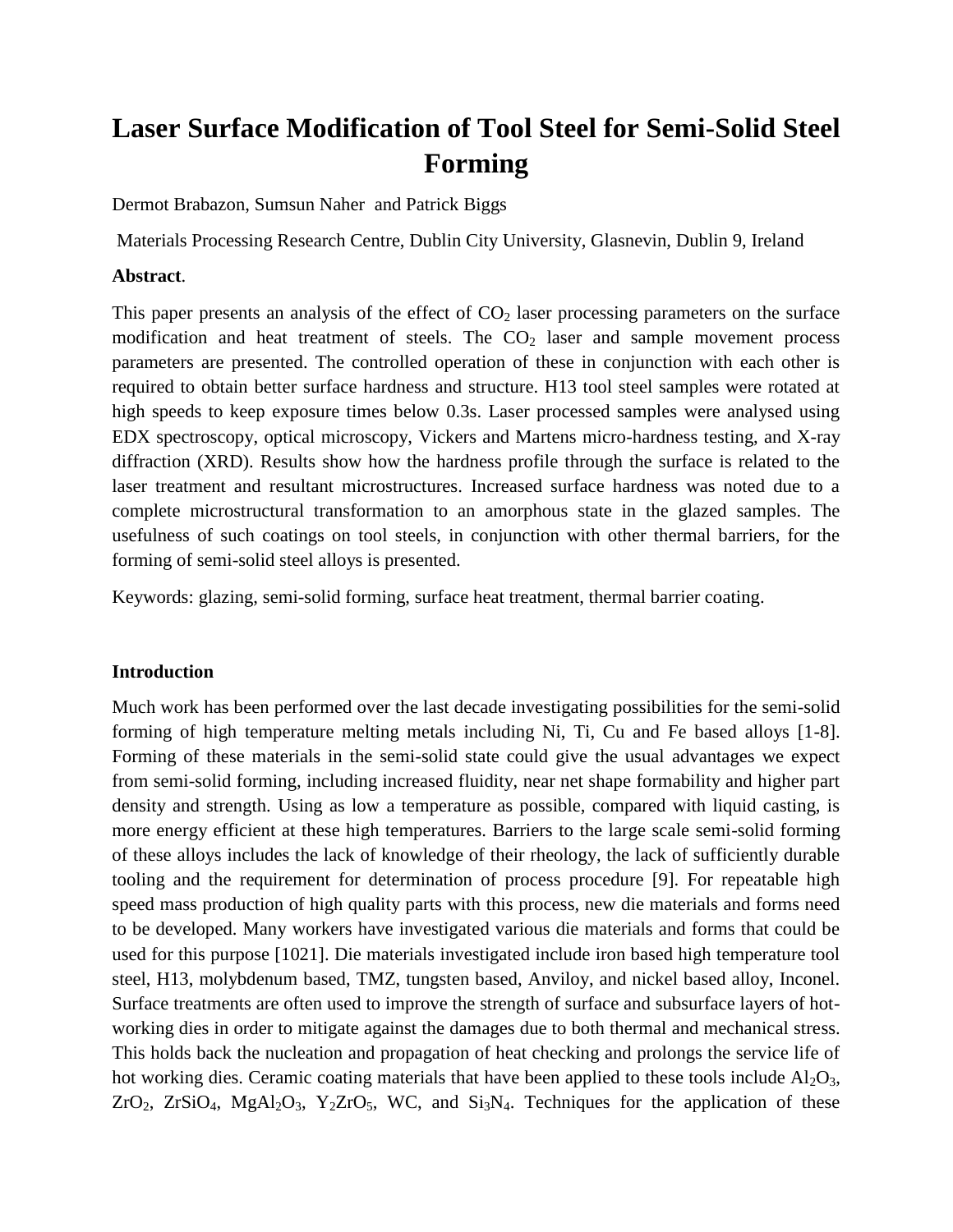# **Laser Surface Modification of Tool Steel for Semi-Solid Steel Forming**

Dermot Brabazon, Sumsun Naher and Patrick Biggs

Materials Processing Research Centre, Dublin City University, Glasnevin, Dublin 9, Ireland

## **Abstract**.

This paper presents an analysis of the effect of  $CO<sub>2</sub>$  laser processing parameters on the surface modification and heat treatment of steels. The  $CO<sub>2</sub>$  laser and sample movement process parameters are presented. The controlled operation of these in conjunction with each other is required to obtain better surface hardness and structure. H13 tool steel samples were rotated at high speeds to keep exposure times below 0.3s. Laser processed samples were analysed using EDX spectroscopy, optical microscopy, Vickers and Martens micro-hardness testing, and X-ray diffraction (XRD). Results show how the hardness profile through the surface is related to the laser treatment and resultant microstructures. Increased surface hardness was noted due to a complete microstructural transformation to an amorphous state in the glazed samples. The usefulness of such coatings on tool steels, in conjunction with other thermal barriers, for the forming of semi-solid steel alloys is presented.

Keywords: glazing, semi-solid forming, surface heat treatment, thermal barrier coating.

# **Introduction**

Much work has been performed over the last decade investigating possibilities for the semi-solid forming of high temperature melting metals including Ni, Ti, Cu and Fe based alloys [1-8]. Forming of these materials in the semi-solid state could give the usual advantages we expect from semi-solid forming, including increased fluidity, near net shape formability and higher part density and strength. Using as low a temperature as possible, compared with liquid casting, is more energy efficient at these high temperatures. Barriers to the large scale semi-solid forming of these alloys includes the lack of knowledge of their rheology, the lack of sufficiently durable tooling and the requirement for determination of process procedure [9]. For repeatable high speed mass production of high quality parts with this process, new die materials and forms need to be developed. Many workers have investigated various die materials and forms that could be used for this purpose [1021]. Die materials investigated include iron based high temperature tool steel, H13, molybdenum based, TMZ, tungsten based, Anviloy, and nickel based alloy, Inconel. Surface treatments are often used to improve the strength of surface and subsurface layers of hotworking dies in order to mitigate against the damages due to both thermal and mechanical stress. This holds back the nucleation and propagation of heat checking and prolongs the service life of hot working dies. Ceramic coating materials that have been applied to these tools include  $Al_2O_3$ ,  $ZrO_2$ ,  $ZrSiO_4$ ,  $MgAl_2O_3$ ,  $Y_2ZrO_5$ , WC, and  $Si_3N_4$ . Techniques for the application of these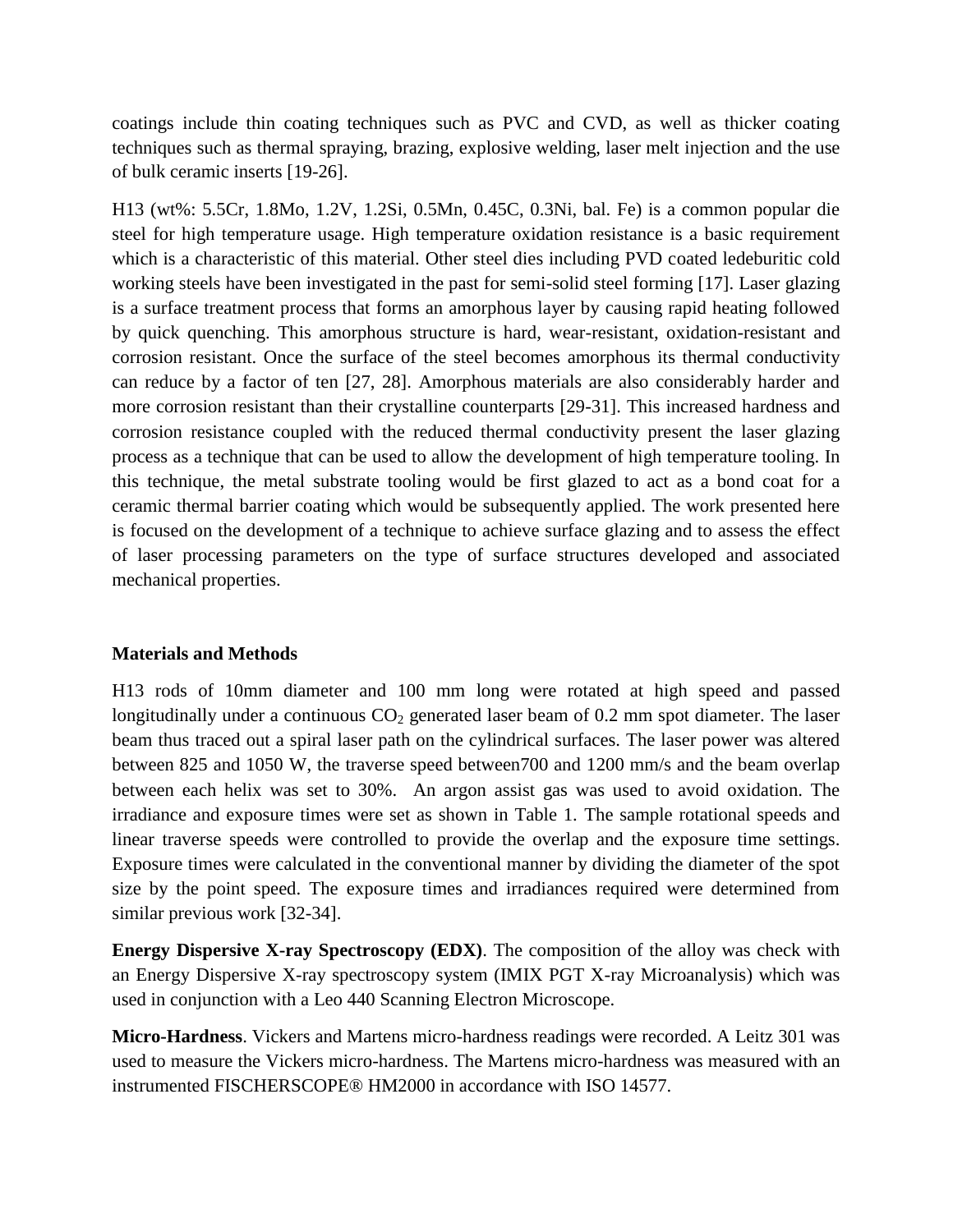coatings include thin coating techniques such as PVC and CVD, as well as thicker coating techniques such as thermal spraying, brazing, explosive welding, laser melt injection and the use of bulk ceramic inserts [19-26].

H13 (wt%: 5.5Cr, 1.8Mo, 1.2V, 1.2Si, 0.5Mn, 0.45C, 0.3Ni, bal. Fe) is a common popular die steel for high temperature usage. High temperature oxidation resistance is a basic requirement which is a characteristic of this material. Other steel dies including PVD coated ledeburitic cold working steels have been investigated in the past for semi-solid steel forming [17]. Laser glazing is a surface treatment process that forms an amorphous layer by causing rapid heating followed by quick quenching. This amorphous structure is hard, wear-resistant, oxidation-resistant and corrosion resistant. Once the surface of the steel becomes amorphous its thermal conductivity can reduce by a factor of ten [27, 28]. Amorphous materials are also considerably harder and more corrosion resistant than their crystalline counterparts [29-31]. This increased hardness and corrosion resistance coupled with the reduced thermal conductivity present the laser glazing process as a technique that can be used to allow the development of high temperature tooling. In this technique, the metal substrate tooling would be first glazed to act as a bond coat for a ceramic thermal barrier coating which would be subsequently applied. The work presented here is focused on the development of a technique to achieve surface glazing and to assess the effect of laser processing parameters on the type of surface structures developed and associated mechanical properties.

# **Materials and Methods**

H13 rods of 10mm diameter and 100 mm long were rotated at high speed and passed longitudinally under a continuous  $CO<sub>2</sub>$  generated laser beam of 0.2 mm spot diameter. The laser beam thus traced out a spiral laser path on the cylindrical surfaces. The laser power was altered between 825 and 1050 W, the traverse speed between700 and 1200 mm/s and the beam overlap between each helix was set to 30%. An argon assist gas was used to avoid oxidation. The irradiance and exposure times were set as shown in Table 1. The sample rotational speeds and linear traverse speeds were controlled to provide the overlap and the exposure time settings. Exposure times were calculated in the conventional manner by dividing the diameter of the spot size by the point speed. The exposure times and irradiances required were determined from similar previous work [32-34].

**Energy Dispersive X-ray Spectroscopy (EDX)**. The composition of the alloy was check with an Energy Dispersive X-ray spectroscopy system (IMIX PGT X-ray Microanalysis) which was used in conjunction with a Leo 440 Scanning Electron Microscope.

**Micro-Hardness**. Vickers and Martens micro-hardness readings were recorded. A Leitz 301 was used to measure the Vickers micro-hardness. The Martens micro-hardness was measured with an instrumented FISCHERSCOPE® HM2000 in accordance with ISO 14577.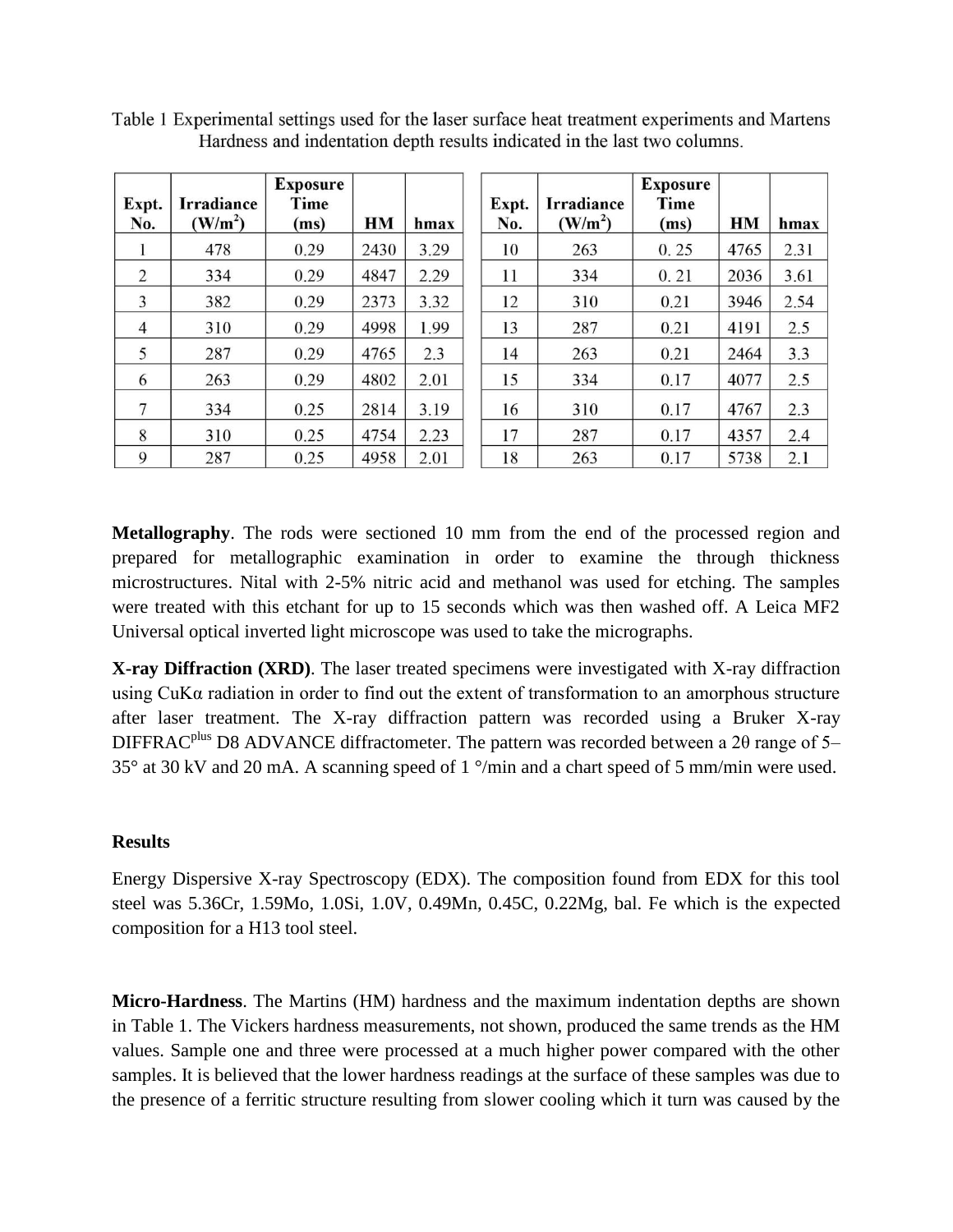| Expt.          | <b>Irradiance</b>   | <b>Exposure</b><br>Time |      |      | Expt. | <b>Irradiance</b>   | <b>Exposure</b><br>Time |      |      |
|----------------|---------------------|-------------------------|------|------|-------|---------------------|-------------------------|------|------|
| No.            | (W/m <sup>2</sup> ) | (ms)                    | HМ   | hmax | No.   | (W/m <sup>2</sup> ) | (ms)                    | HМ   | hmax |
|                | 478                 | 0.29                    | 2430 | 3.29 | 10    | 263                 | 0.25                    | 4765 | 2.31 |
| $\overline{2}$ | 334                 | 0.29                    | 4847 | 2.29 | 11    | 334                 | 0.21                    | 2036 | 3.61 |
| 3              | 382                 | 0.29                    | 2373 | 3.32 | 12    | 310                 | 0.21                    | 3946 | 2.54 |
| $\overline{4}$ | 310                 | 0.29                    | 4998 | 1.99 | 13    | 287                 | 0.21                    | 4191 | 2.5  |
| 5              | 287                 | 0.29                    | 4765 | 2.3  | 14    | 263                 | 0.21                    | 2464 | 3.3  |
| 6              | 263                 | 0.29                    | 4802 | 2.01 | 15    | 334                 | 0.17                    | 4077 | 2.5  |
| 7              | 334                 | 0.25                    | 2814 | 3.19 | 16    | 310                 | 0.17                    | 4767 | 2.3  |
| 8              | 310                 | 0.25                    | 4754 | 2.23 | 17    | 287                 | 0.17                    | 4357 | 2.4  |
| 9              | 287                 | 0.25                    | 4958 | 2.01 | 18    | 263                 | 0.17                    | 5738 | 2.1  |

Table 1 Experimental settings used for the laser surface heat treatment experiments and Martens Hardness and indentation depth results indicated in the last two columns.

**Metallography**. The rods were sectioned 10 mm from the end of the processed region and prepared for metallographic examination in order to examine the through thickness microstructures. Nital with 2-5% nitric acid and methanol was used for etching. The samples were treated with this etchant for up to 15 seconds which was then washed off. A Leica MF2 Universal optical inverted light microscope was used to take the micrographs.

**X-ray Diffraction (XRD)**. The laser treated specimens were investigated with X-ray diffraction using CuKα radiation in order to find out the extent of transformation to an amorphous structure after laser treatment. The X-ray diffraction pattern was recorded using a Bruker X-ray DIFFRAC<sup>plus</sup> D8 ADVANCE diffractometer. The pattern was recorded between a 20 range of 5– 35° at 30 kV and 20 mA. A scanning speed of 1 °/min and a chart speed of 5 mm/min were used.

#### **Results**

Energy Dispersive X-ray Spectroscopy (EDX). The composition found from EDX for this tool steel was 5.36Cr, 1.59Mo, 1.0Si, 1.0V, 0.49Mn, 0.45C, 0.22Mg, bal. Fe which is the expected composition for a H13 tool steel.

**Micro-Hardness**. The Martins (HM) hardness and the maximum indentation depths are shown in Table 1. The Vickers hardness measurements, not shown, produced the same trends as the HM values. Sample one and three were processed at a much higher power compared with the other samples. It is believed that the lower hardness readings at the surface of these samples was due to the presence of a ferritic structure resulting from slower cooling which it turn was caused by the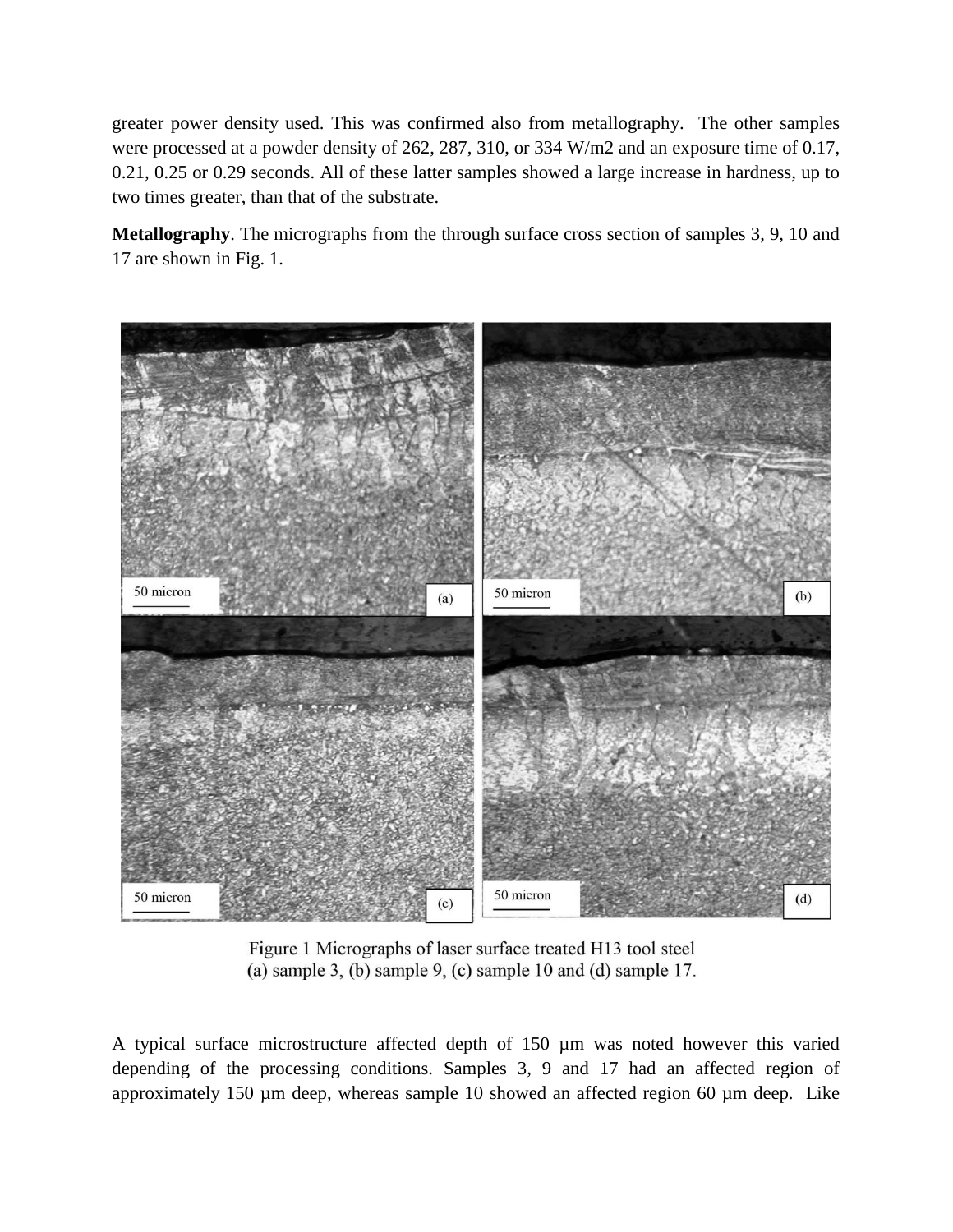greater power density used. This was confirmed also from metallography. The other samples were processed at a powder density of 262, 287, 310, or 334 W/m2 and an exposure time of 0.17, 0.21, 0.25 or 0.29 seconds. All of these latter samples showed a large increase in hardness, up to two times greater, than that of the substrate.

**Metallography**. The micrographs from the through surface cross section of samples 3, 9, 10 and 17 are shown in Fig. 1.



Figure 1 Micrographs of laser surface treated H13 tool steel (a) sample 3, (b) sample 9, (c) sample 10 and (d) sample 17.

A typical surface microstructure affected depth of 150 µm was noted however this varied depending of the processing conditions. Samples 3, 9 and 17 had an affected region of approximately 150 µm deep, whereas sample 10 showed an affected region 60 µm deep. Like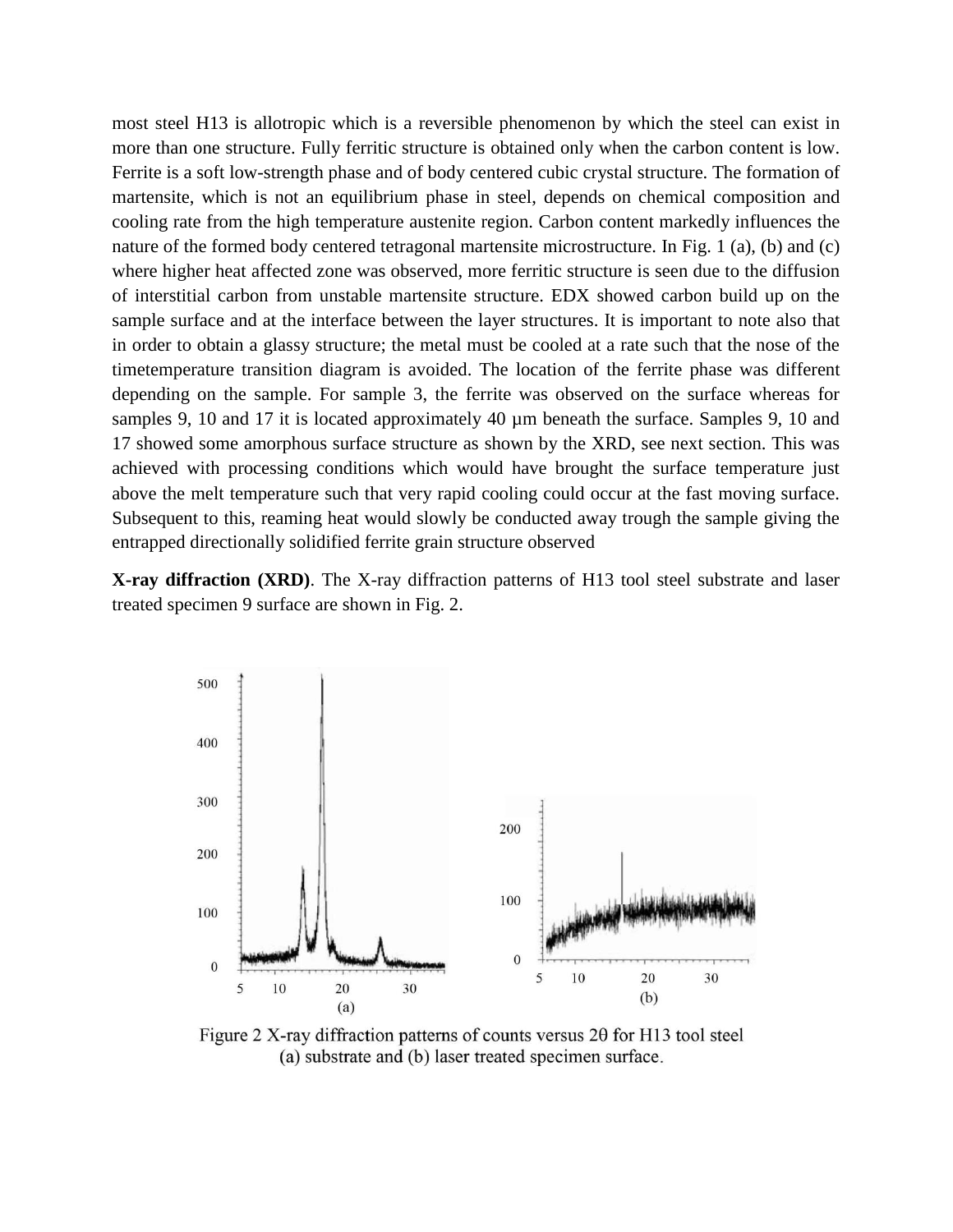most steel H13 is allotropic which is a reversible phenomenon by which the steel can exist in more than one structure. Fully ferritic structure is obtained only when the carbon content is low. Ferrite is a soft low-strength phase and of body centered cubic crystal structure. The formation of martensite, which is not an equilibrium phase in steel, depends on chemical composition and cooling rate from the high temperature austenite region. Carbon content markedly influences the nature of the formed body centered tetragonal martensite microstructure. In Fig. 1 (a), (b) and (c) where higher heat affected zone was observed, more ferritic structure is seen due to the diffusion of interstitial carbon from unstable martensite structure. EDX showed carbon build up on the sample surface and at the interface between the layer structures. It is important to note also that in order to obtain a glassy structure; the metal must be cooled at a rate such that the nose of the timetemperature transition diagram is avoided. The location of the ferrite phase was different depending on the sample. For sample 3, the ferrite was observed on the surface whereas for samples 9, 10 and 17 it is located approximately 40  $\mu$ m beneath the surface. Samples 9, 10 and 17 showed some amorphous surface structure as shown by the XRD, see next section. This was achieved with processing conditions which would have brought the surface temperature just above the melt temperature such that very rapid cooling could occur at the fast moving surface. Subsequent to this, reaming heat would slowly be conducted away trough the sample giving the entrapped directionally solidified ferrite grain structure observed

**X-ray diffraction (XRD)**. The X-ray diffraction patterns of H13 tool steel substrate and laser treated specimen 9 surface are shown in Fig. 2.



Figure 2 X-ray diffraction patterns of counts versus  $2\theta$  for H13 tool steel (a) substrate and (b) laser treated specimen surface.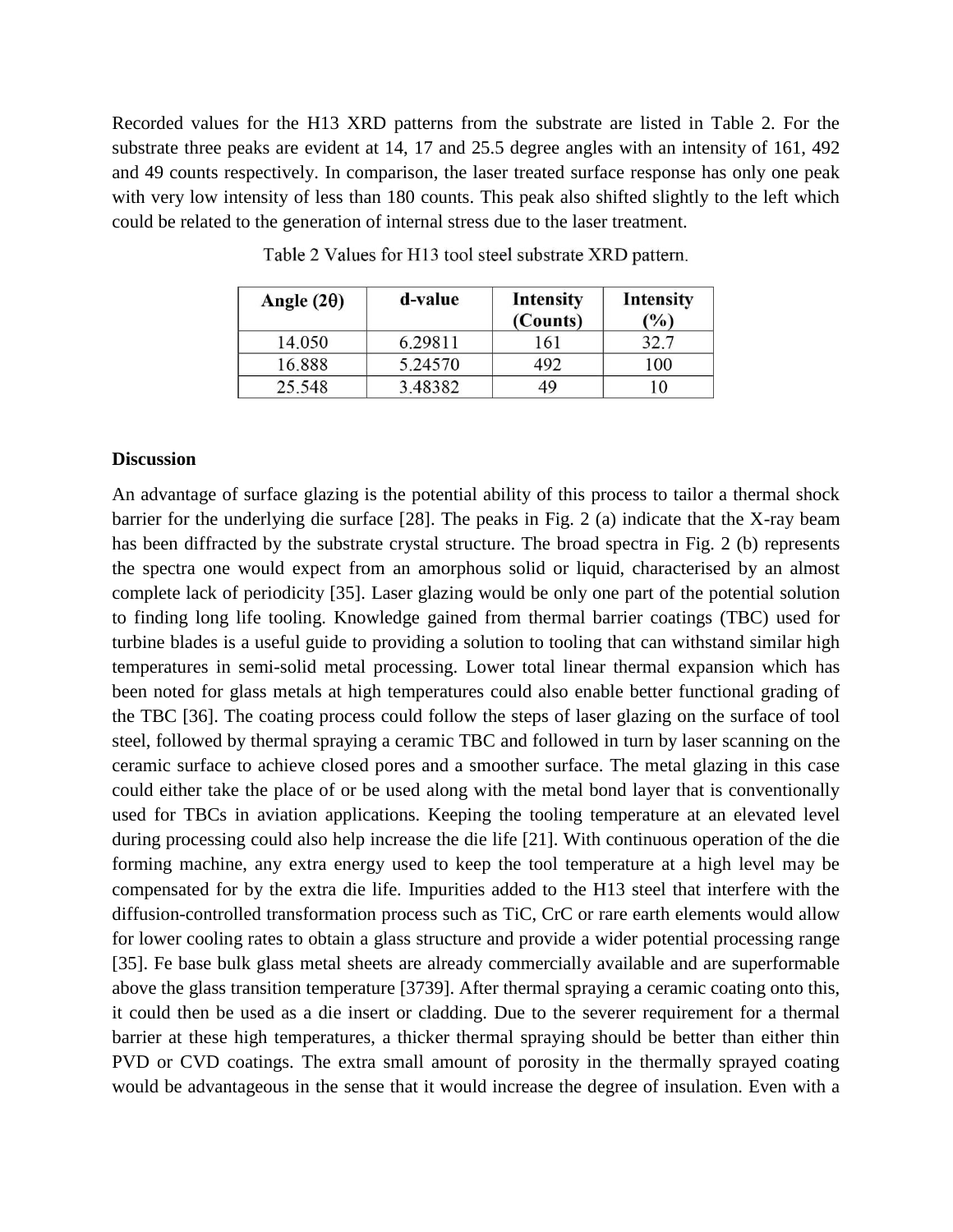Recorded values for the H13 XRD patterns from the substrate are listed in Table 2. For the substrate three peaks are evident at 14, 17 and 25.5 degree angles with an intensity of 161, 492 and 49 counts respectively. In comparison, the laser treated surface response has only one peak with very low intensity of less than 180 counts. This peak also shifted slightly to the left which could be related to the generation of internal stress due to the laser treatment.

| Angle $(2\theta)$ | d-value | Intensity<br>(Counts) | <b>Intensity</b><br>(%) |
|-------------------|---------|-----------------------|-------------------------|
| 14.050            | 6.29811 | 161                   |                         |
| 16.888            | 5.24570 | 492                   | 100                     |
| 25.548            | 3.48382 | 49                    |                         |

Table 2 Values for H13 tool steel substrate XRD pattern.

## **Discussion**

An advantage of surface glazing is the potential ability of this process to tailor a thermal shock barrier for the underlying die surface [28]. The peaks in Fig. 2 (a) indicate that the X-ray beam has been diffracted by the substrate crystal structure. The broad spectra in Fig. 2 (b) represents the spectra one would expect from an amorphous solid or liquid, characterised by an almost complete lack of periodicity [35]. Laser glazing would be only one part of the potential solution to finding long life tooling. Knowledge gained from thermal barrier coatings (TBC) used for turbine blades is a useful guide to providing a solution to tooling that can withstand similar high temperatures in semi-solid metal processing. Lower total linear thermal expansion which has been noted for glass metals at high temperatures could also enable better functional grading of the TBC [36]. The coating process could follow the steps of laser glazing on the surface of tool steel, followed by thermal spraying a ceramic TBC and followed in turn by laser scanning on the ceramic surface to achieve closed pores and a smoother surface. The metal glazing in this case could either take the place of or be used along with the metal bond layer that is conventionally used for TBCs in aviation applications. Keeping the tooling temperature at an elevated level during processing could also help increase the die life [21]. With continuous operation of the die forming machine, any extra energy used to keep the tool temperature at a high level may be compensated for by the extra die life. Impurities added to the H13 steel that interfere with the diffusion-controlled transformation process such as TiC, CrC or rare earth elements would allow for lower cooling rates to obtain a glass structure and provide a wider potential processing range [35]. Fe base bulk glass metal sheets are already commercially available and are superformable above the glass transition temperature [3739]. After thermal spraying a ceramic coating onto this, it could then be used as a die insert or cladding. Due to the severer requirement for a thermal barrier at these high temperatures, a thicker thermal spraying should be better than either thin PVD or CVD coatings. The extra small amount of porosity in the thermally sprayed coating would be advantageous in the sense that it would increase the degree of insulation. Even with a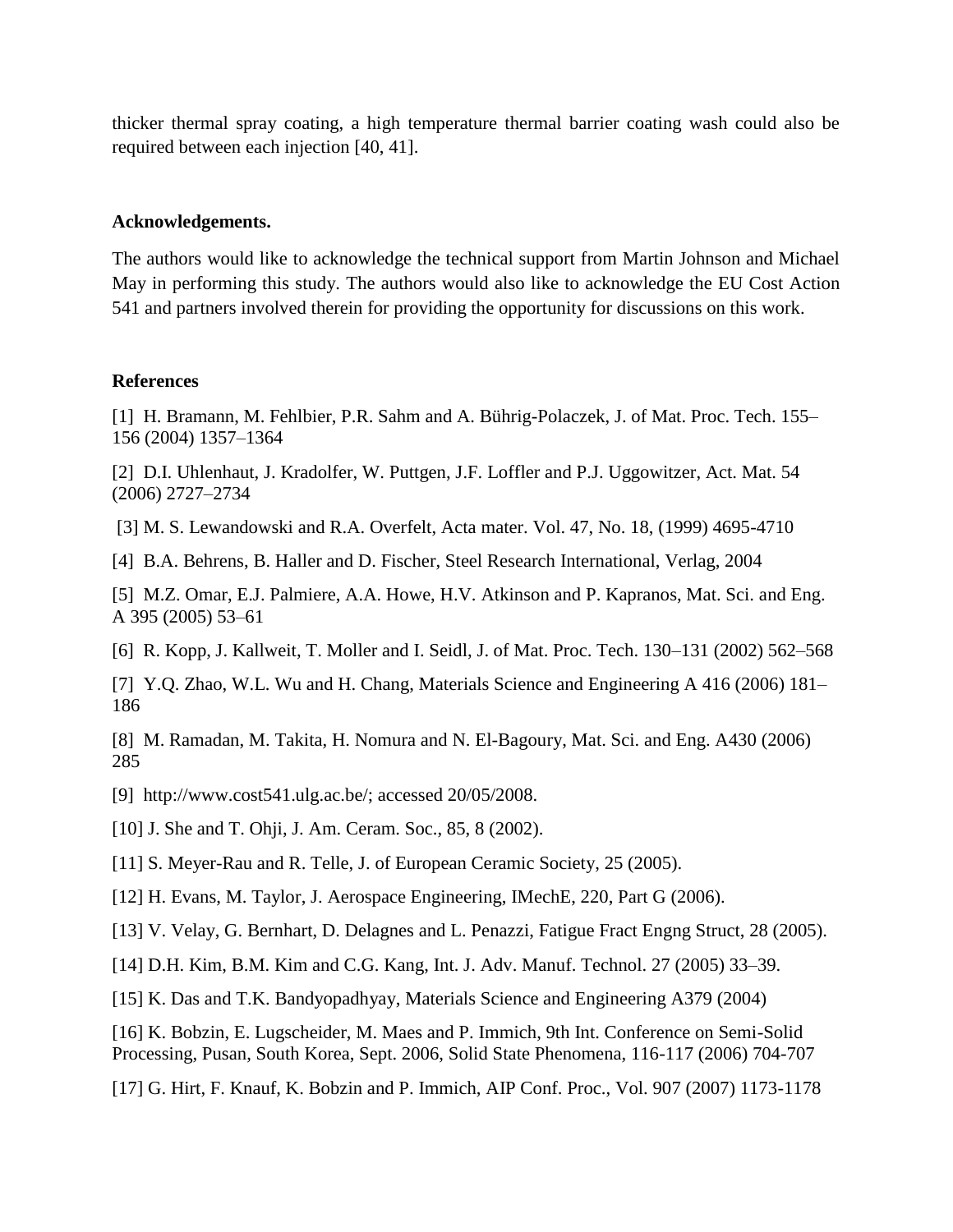thicker thermal spray coating, a high temperature thermal barrier coating wash could also be required between each injection [40, 41].

#### **Acknowledgements.**

The authors would like to acknowledge the technical support from Martin Johnson and Michael May in performing this study. The authors would also like to acknowledge the EU Cost Action 541 and partners involved therein for providing the opportunity for discussions on this work.

#### **References**

[1] H. Bramann, M. Fehlbier, P.R. Sahm and A. Bührig-Polaczek, J. of Mat. Proc. Tech. 155– 156 (2004) 1357–1364

[2] D.I. Uhlenhaut, J. Kradolfer, W. Puttgen, J.F. Loffler and P.J. Uggowitzer, Act. Mat. 54 (2006) 2727–2734

[3] M. S. Lewandowski and R.A. Overfelt, Acta mater. Vol. 47, No. 18, (1999) 4695-4710

[4] B.A. Behrens, B. Haller and D. Fischer, Steel Research International, Verlag, 2004

[5] M.Z. Omar, E.J. Palmiere, A.A. Howe, H.V. Atkinson and P. Kapranos, Mat. Sci. and Eng. A 395 (2005) 53–61

[6] R. Kopp, J. Kallweit, T. Moller and I. Seidl, J. of Mat. Proc. Tech. 130–131 (2002) 562–568

[7] Y.Q. Zhao, W.L. Wu and H. Chang, Materials Science and Engineering A 416 (2006) 181– 186

[8] M. Ramadan, M. Takita, H. Nomura and N. El-Bagoury, Mat. Sci. and Eng. A430 (2006) 285

[9] http://www.cost541.ulg.ac.be/; accessed 20/05/2008.

[10] J. She and T. Ohji, J. Am. Ceram. Soc., 85, 8 (2002).

[11] S. Meyer-Rau and R. Telle, J. of European Ceramic Society, 25 (2005).

[12] H. Evans, M. Taylor, J. Aerospace Engineering, IMechE, 220, Part G (2006).

[13] V. Velay, G. Bernhart, D. Delagnes and L. Penazzi, Fatigue Fract Engng Struct, 28 (2005).

[14] D.H. Kim, B.M. Kim and C.G. Kang, Int. J. Adv. Manuf. Technol. 27 (2005) 33–39.

[15] K. Das and T.K. Bandyopadhyay, Materials Science and Engineering A379 (2004)

[16] K. Bobzin, E. Lugscheider, M. Maes and P. Immich, 9th Int. Conference on Semi-Solid Processing, Pusan, South Korea, Sept. 2006, Solid State Phenomena, 116-117 (2006) 704-707

[17] G. Hirt, F. Knauf, K. Bobzin and P. Immich, AIP Conf. Proc., Vol. 907 (2007) 1173-1178